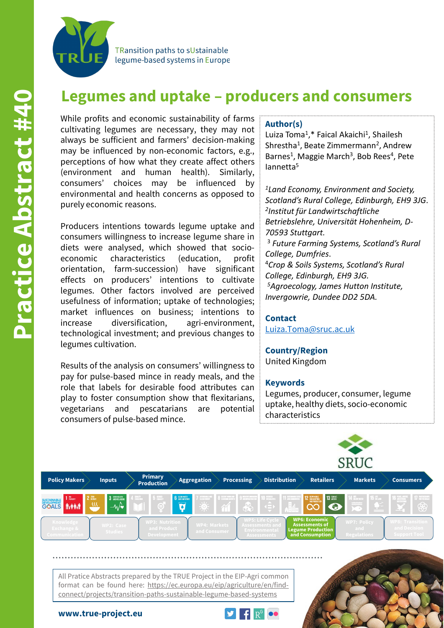

TRansition paths to sUstainable legume-based systems in Europe

# **Legumes and uptake – producers and consumers**

While profits and economic sustainability of farms cultivating legumes are necessary, they may not always be sufficient and farmers' decision-making may be influenced by non-economic factors, e.g., perceptions of how what they create affect others (environment and human health). Similarly, consumers' choices may be influenced by environmental and health concerns as opposed to purely economic reasons.

Producers intentions towards legume uptake and consumers willingness to increase legume share in diets were analysed, which showed that socioeconomic characteristics (education, profit orientation, farm-succession) have significant effects on producers' intentions to cultivate legumes. Other factors involved are perceived usefulness of information; uptake of technologies; market influences on business; intentions to increase diversification, agri-environment, technological investment; and previous changes to legumes cultivation.

Results of the analysis on consumers' willingness to pay for pulse-based mince in ready meals, and the role that labels for desirable food attributes can play to foster consumption show that flexitarians, vegetarians and pescatarians are potential consumers of pulse-based mince.

#### **Author(s)**

Luiza Toma<sup>1</sup>,\* Faical Akaichi<sup>1</sup>, Shailesh Shrestha<sup>1</sup>, Beate Zimmermann<sup>2</sup>, Andrew Barnes<sup>1</sup>, Maggie March<sup>3</sup>, Bob Rees<sup>4</sup>, Pete Iannetta5

*1Land Economy, Environment and Society, Scotland's Rural College, Edinburgh, EH9 3JG*. *2Institut für Landwirtschaftliche Betriebslehre, Universität Hohenheim, D-70593 Stuttgart.* <sup>3</sup> *Future Farming Systems, Scotland's Rural College, Dumfries*. 4*Crop & Soils Systems, Scotland's Rural College, Edinburgh, EH9 3JG. 5Agroecology, James Hutton Institute,* 

### *Invergowrie, Dundee DD2 5DA.* **Contact**

[Luiza.Toma@sruc.ac.uk](mailto:Luiza.Toma@sruc.ac.uk)

## **Country/Region**

United Kingdom

#### **Keywords**

Legumes, producer, consumer, legume uptake, healthy diets, socio-economic characteristics



All Pratice Abstracts prepared by the TRUE Project in the EIP-Agri common format can be found here: https://ec.europa.eu/eip/agriculture/en/findconnect/projects/transition-paths-sustainable-legume-based-systems





#### **www.true-project.eu**